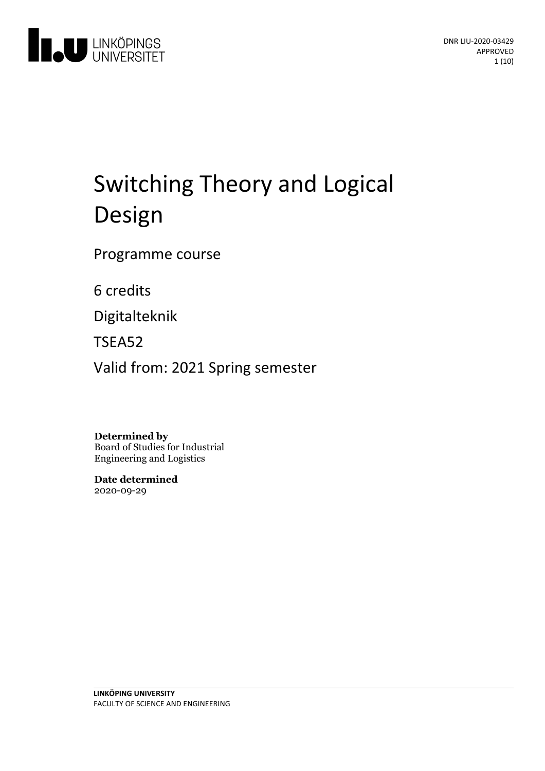

# Switching Theory and Logical Design

Programme course

6 credits

Digitalteknik

TSEA52

Valid from: 2021 Spring semester

**Determined by**

Board of Studies for Industrial Engineering and Logistics

**Date determined** 2020-09-29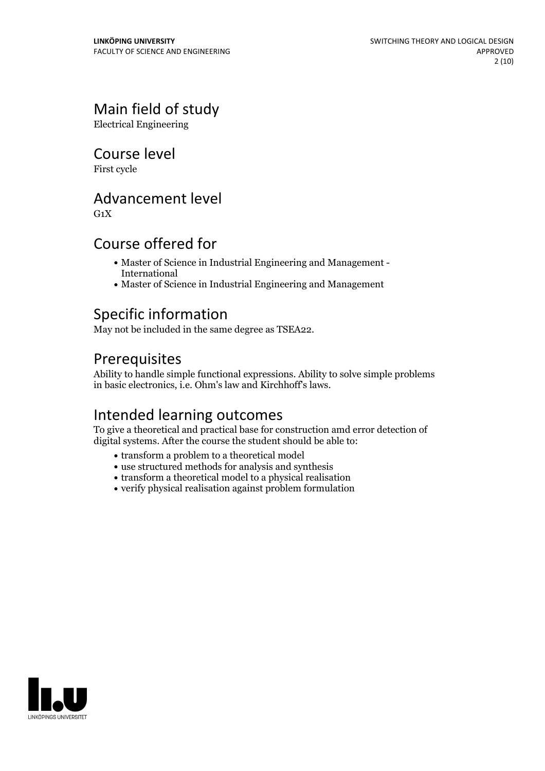# Main field of study

Electrical Engineering

### Course level

First cycle

### Advancement level

 $G_1X$ 

### Course offered for

- Master of Science in Industrial Engineering and Management International
- Master of Science in Industrial Engineering and Management

## Specific information

May not be included in the same degree as TSEA22.

## Prerequisites

Ability to handle simple functional expressions. Ability to solve simple problems in basic electronics, i.e. Ohm's law and Kirchhoff's laws.

# Intended learning outcomes

To give a theoretical and practical base for construction amd error detection of digital systems. After the course the student should be able to:

- transform a problem to a theoretical model
- use structured methods for analysis and synthesis
- transform a theoretical model to a physical realisation
- verify physical realisation against problem formulation

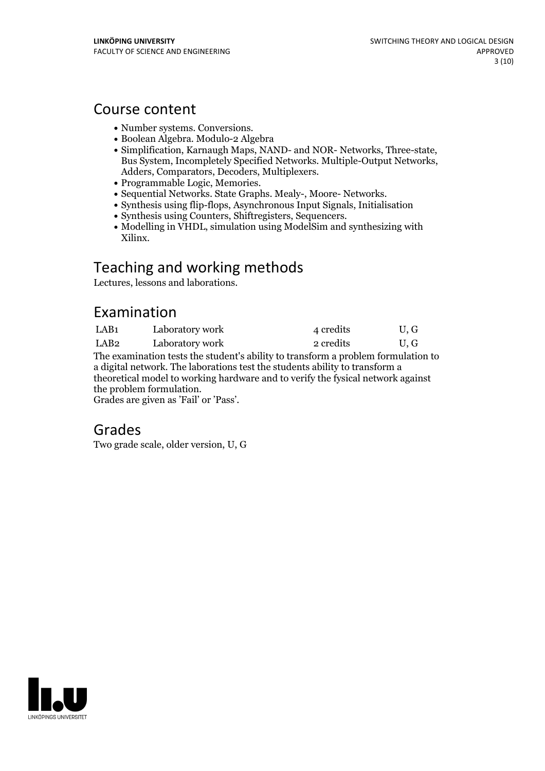### Course content

- 
- 
- Number systems. Conversions.<br>• Boolean Algebra. Modulo-2 Algebra<br>• Simplification, Karnaugh Maps, NAND- and NOR- Networks, Three-state, Bus System, Incompletely Specified Networks. Multiple-Output Networks,<br>Adders, Comparators, Decoders, Multiplexers.<br>• Programmable Logic, Memories.<br>• Sequential Networks. State Graphs. Mealy-, Moore- Networks.<br>• Synthesis
- 
- 
- 
- 
- $\bullet$  Modelling in VHDL, simulation using ModelSim and synthesizing with Xilinx.

# Teaching and working methods

Lectures, lessons and laborations.

# Examination

| LAB1 | Laboratory work | 4 credits | U, G |
|------|-----------------|-----------|------|
| LAB2 | Laboratory work | 2 credits | U, G |

The examination tests the student's ability to transform a problem formulation to a digital network. The laborations test the students ability to transform a theoretical model to working hardware and to verify the fysical network against

Grades are given as 'Fail' or 'Pass'.

## Grades

Two grade scale, older version, U, G

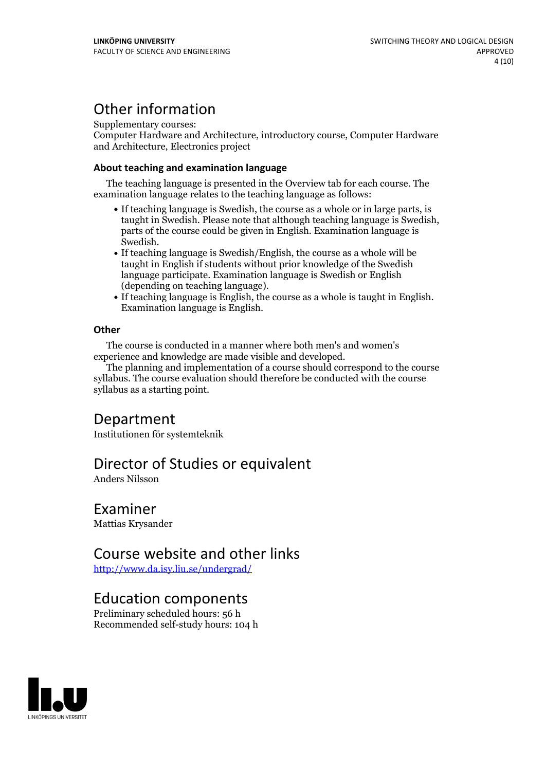# Other information

Supplementary courses:

Computer Hardware and Architecture, introductory course, Computer Hardware and Architecture, Electronics project

#### **About teaching and examination language**

The teaching language is presented in the Overview tab for each course. The examination language relates to the teaching language as follows:

- If teaching language is Swedish, the course as a whole or in large parts, is taught in Swedish. Please note that although teaching language is Swedish, parts of the course could be given in English. Examination language is
- Swedish.<br>• If teaching language is Swedish/English, the course as a whole will be taught in English if students without prior knowledge of the Swedish language participate. Examination language is Swedish or English
- $\bullet$  If teaching language is English, the course as a whole is taught in English. Examination language is English.

#### **Other**

The course is conducted in a manner where both men's and women's

The planning and implementation of a course should correspond to the course syllabus. The course evaluation should therefore be conducted with the course syllabus as a starting point.

### Department

Institutionen för systemteknik

### Director of Studies or equivalent

Anders Nilsson

### Examiner

Mattias Krysander

### Course website and other links

<http://www.da.isy.liu.se/undergrad/>

### Education components

Preliminary scheduled hours: 56 h Recommended self-study hours: 104 h

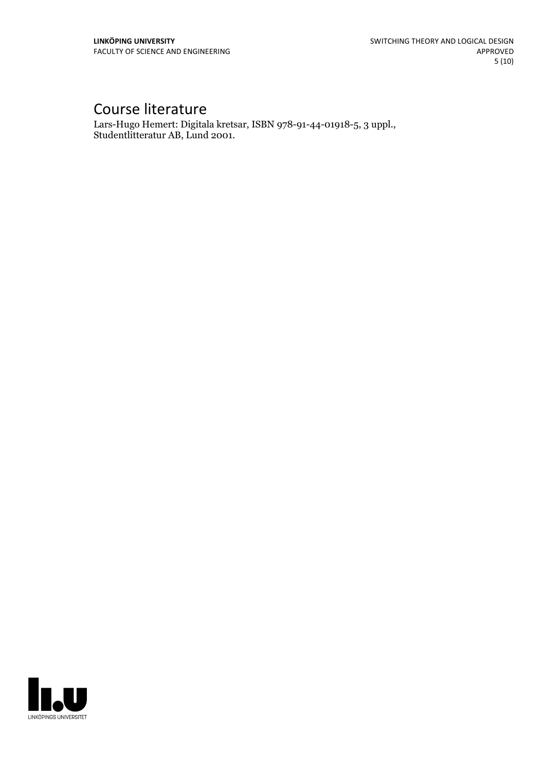# Course literature

Lars-Hugo Hemert: Digitala kretsar, ISBN 978-91-44-01918-5, <sup>3</sup> uppl., Studentlitteratur AB, Lund 2001.

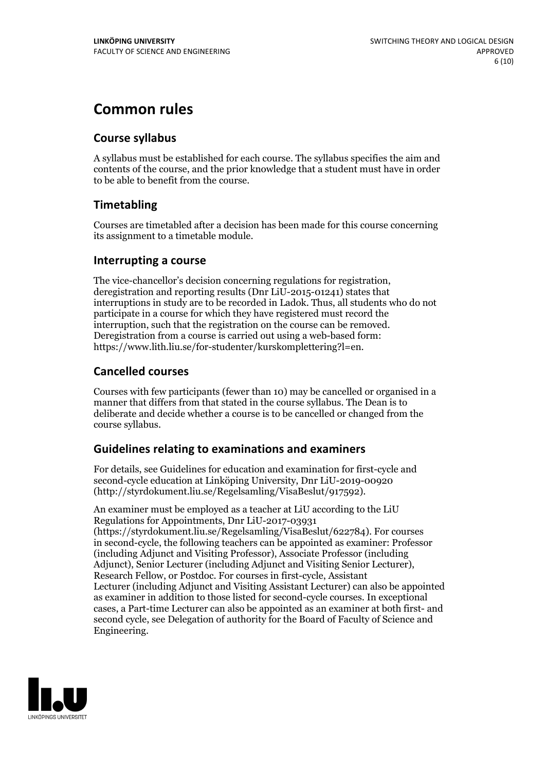# **Common rules**

#### **Course syllabus**

A syllabus must be established for each course. The syllabus specifies the aim and contents of the course, and the prior knowledge that a student must have in order to be able to benefit from the course.

#### **Timetabling**

Courses are timetabled after a decision has been made for this course concerning its assignment to a timetable module.

#### **Interrupting a course**

The vice-chancellor's decision concerning regulations for registration, deregistration and reporting results (Dnr LiU-2015-01241) states that interruptions in study are to be recorded in Ladok. Thus, all students who do not participate in a course for which they have registered must record the interruption, such that the registration on the course can be removed. Deregistration from <sup>a</sup> course is carried outusing <sup>a</sup> web-based form: https://www.lith.liu.se/for-studenter/kurskomplettering?l=en.

#### **Cancelled courses**

Courses with few participants (fewer than 10) may be cancelled or organised in a manner that differs from that stated in the course syllabus. The Dean is to deliberate and decide whether a course is to be cancelled or changed from the course syllabus.

#### **Guidelines relatingto examinations and examiners**

For details, see Guidelines for education and examination for first-cycle and second-cycle education at Linköping University, Dnr LiU-2019-00920 (http://styrdokument.liu.se/Regelsamling/VisaBeslut/917592).

An examiner must be employed as a teacher at LiU according to the LiU Regulations for Appointments, Dnr LiU-2017-03931 (https://styrdokument.liu.se/Regelsamling/VisaBeslut/622784). For courses in second-cycle, the following teachers can be appointed as examiner: Professor (including Adjunct and Visiting Professor), Associate Professor (including Adjunct), Senior Lecturer (including Adjunct and Visiting Senior Lecturer), Research Fellow, or Postdoc. For courses in first-cycle, Assistant Lecturer (including Adjunct and Visiting Assistant Lecturer) can also be appointed as examiner in addition to those listed for second-cycle courses. In exceptional cases, a Part-time Lecturer can also be appointed as an examiner at both first- and second cycle, see Delegation of authority for the Board of Faculty of Science and Engineering.

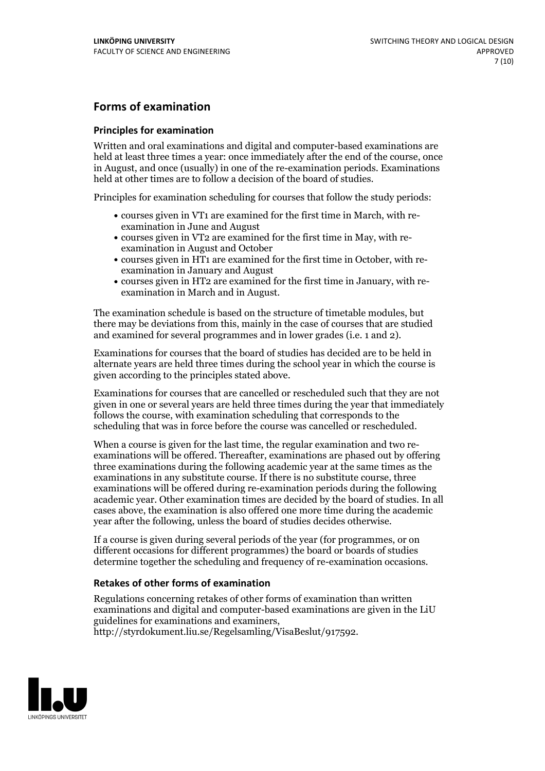#### **Forms of examination**

#### **Principles for examination**

Written and oral examinations and digital and computer-based examinations are held at least three times a year: once immediately after the end of the course, once in August, and once (usually) in one of the re-examination periods. Examinations held at other times are to follow a decision of the board of studies.

Principles for examination scheduling for courses that follow the study periods:

- courses given in VT1 are examined for the first time in March, with re-examination in June and August
- courses given in VT2 are examined for the first time in May, with re-examination in August and October
- courses given in HT1 are examined for the first time in October, with re-examination in January and August
- courses given in HT2 are examined for the first time in January, with re-examination in March and in August.

The examination schedule is based on the structure of timetable modules, but there may be deviations from this, mainly in the case of courses that are studied and examined for several programmes and in lower grades (i.e. 1 and 2).

Examinations for courses that the board of studies has decided are to be held in alternate years are held three times during the school year in which the course is given according to the principles stated above.

Examinations for courses that are cancelled orrescheduled such that they are not given in one or several years are held three times during the year that immediately follows the course, with examination scheduling that corresponds to the scheduling that was in force before the course was cancelled or rescheduled.

When a course is given for the last time, the regular examination and two re-<br>examinations will be offered. Thereafter, examinations are phased out by offering three examinations during the following academic year at the same times as the examinations in any substitute course. If there is no substitute course, three examinations will be offered during re-examination periods during the following academic year. Other examination times are decided by the board of studies. In all cases above, the examination is also offered one more time during the academic year after the following, unless the board of studies decides otherwise.

If a course is given during several periods of the year (for programmes, or on different occasions for different programmes) the board or boards of studies determine together the scheduling and frequency of re-examination occasions.

#### **Retakes of other forms of examination**

Regulations concerning retakes of other forms of examination than written examinations and digital and computer-based examinations are given in the LiU guidelines for examinations and examiners, http://styrdokument.liu.se/Regelsamling/VisaBeslut/917592.

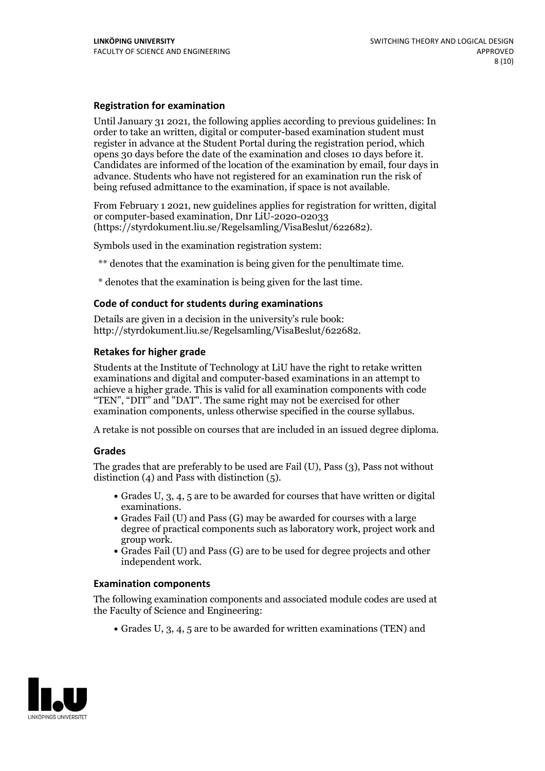#### **Registration for examination**

Until January 31 2021, the following applies according to previous guidelines: In order to take an written, digital or computer-based examination student must register in advance at the Student Portal during the registration period, which Candidates are informed of the location of the examination by email, four days in advance. Students who have not registered for an examination run the risk of being refused admittance to the examination, if space is not available.

From February 1 2021, new guidelines applies for registration for written, digital or computer-based examination, Dnr LiU-2020-02033 (https://styrdokument.liu.se/Regelsamling/VisaBeslut/622682).

Symbols used in the examination registration system:

\*\* denotes that the examination is being given for the penultimate time.

\* denotes that the examination is being given for the last time.

#### **Code of conduct for students during examinations**

Details are given in a decision in the university's rule book: http://styrdokument.liu.se/Regelsamling/VisaBeslut/622682.

#### **Retakes for higher grade**

Students at the Institute of Technology at LiU have the right to retake written examinations and digital and computer-based examinations in an attempt to achieve a higher grade. This is valid for all examination components with code "TEN", "DIT" and "DAT". The same right may not be exercised for other examination components, unless otherwise specified in the course syllabus.

A retake is not possible on courses that are included in an issued degree diploma.

#### **Grades**

The grades that are preferably to be used are Fail (U), Pass (3), Pass not without distinction  $(4)$  and Pass with distinction  $(5)$ .

- Grades U, 3, 4, 5 are to be awarded for courses that have written or digital examinations.<br>• Grades Fail (U) and Pass (G) may be awarded for courses with a large
- degree of practical components such as laboratory work, project work and
- $\bullet$  Grades Fail (U) and Pass (G) are to be used for degree projects and other independent work.

#### **Examination components**

The following examination components and associated module codes are used at the Faculty of Science and Engineering:

Grades U, 3, 4, 5 are to be awarded for written examinations (TEN) and

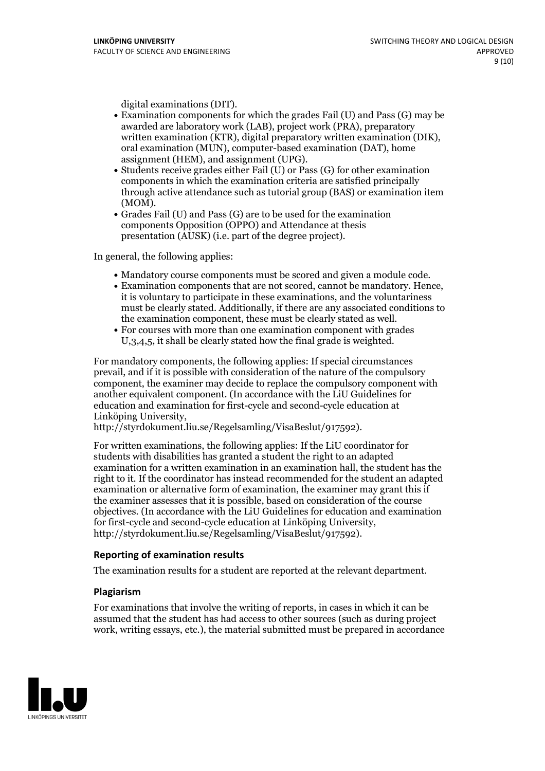- digital examinations (DIT).<br>• Examination components for which the grades Fail (U) and Pass (G) may be awarded are laboratory work (LAB), project work (PRA), preparatory written examination (KTR), digital preparatory written examination (DIK), oral examination (MUN), computer-based examination (DAT), home
- assignment (HEM), and assignment (UPG).<br>• Students receive grades either Fail (U) or Pass (G) for other examination components in which the examination criteria are satisfied principally through active attendance such as tutorial group (BAS) or examination item
- (MOM).<br>• Grades Fail (U) and Pass (G) are to be used for the examination components Opposition (OPPO) and Attendance at thesis presentation (AUSK) (i.e. part of the degree project).

In general, the following applies:

- 
- Mandatory course components must be scored and given <sup>a</sup> module code. Examination components that are not scored, cannot be mandatory. Hence, it is voluntary to participate in these examinations, and the voluntariness must be clearly stated. Additionally, if there are any associated conditions to the examination component, these must be clearly stated as well.<br>• For courses with more than one examination component with grades
- U,3,4,5, it shall be clearly stated how the final grade is weighted.

For mandatory components, the following applies: If special circumstances prevail, and if it is possible with consideration of the nature ofthe compulsory component, the examiner may decide to replace the compulsory component with another equivalent component. (In accordance with the LiU Guidelines for education and examination for first-cycle and second-cycle education at Linköping University, http://styrdokument.liu.se/Regelsamling/VisaBeslut/917592).

For written examinations, the following applies: If the LiU coordinator for students with disabilities has granted a student the right to an adapted examination for a written examination in an examination hall, the student has the right to it. If the coordinator has instead recommended for the student an adapted examination or alternative form of examination, the examiner may grant this if the examiner assesses that it is possible, based on consideration of the course objectives. (In accordance with the LiU Guidelines for education and examination for first-cycle and second-cycle education at Linköping University, http://styrdokument.liu.se/Regelsamling/VisaBeslut/917592).

#### **Reporting of examination results**

The examination results for a student are reported at the relevant department.

#### **Plagiarism**

For examinations that involve the writing of reports, in cases in which it can be assumed that the student has had access to other sources (such as during project work, writing essays, etc.), the material submitted must be prepared in accordance